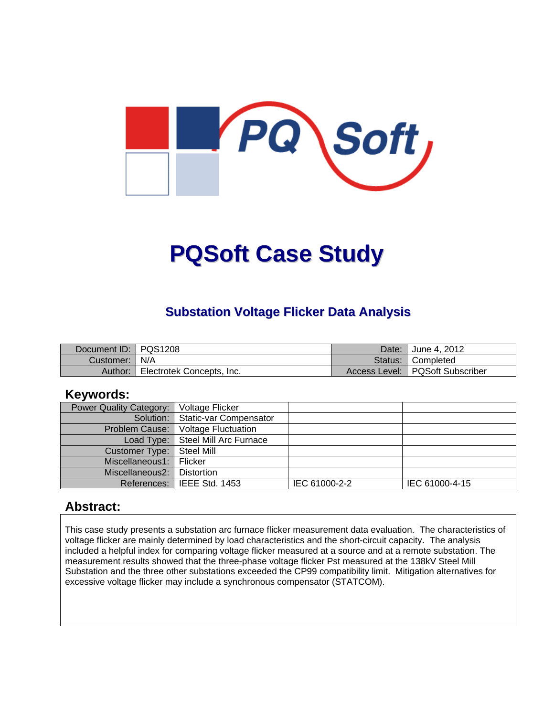

# **PQSoft Case Study**

#### **Substation Voltage Flicker Data Analysis**

| Document ID: PQS1208 |                           | Date: | <sup>"</sup> June 4. 2012         |
|----------------------|---------------------------|-------|-----------------------------------|
| Customer:   N/A      |                           |       | Status: Completed                 |
| Author:              | Electrotek Concepts, Inc. |       | Access Level:   PQSoft Subscriber |

#### **Keywords:**

| Power Quality Category: | Voltage Flicker                     |               |                |
|-------------------------|-------------------------------------|---------------|----------------|
|                         | Solution:   Static-var Compensator  |               |                |
| Problem Cause:          | <b>Voltage Fluctuation</b>          |               |                |
|                         | Load Type:   Steel Mill Arc Furnace |               |                |
| Customer Type:          | Steel Mill                          |               |                |
| Miscellaneous1:         | Flicker                             |               |                |
| Miscellaneous2:         | Distortion                          |               |                |
|                         | References: I IEEE Std. 1453        | IEC 61000-2-2 | IEC 61000-4-15 |

#### **Abstract:**

This case study presents a substation arc furnace flicker measurement data evaluation. The characteristics of voltage flicker are mainly determined by load characteristics and the short-circuit capacity. The analysis included a helpful index for comparing voltage flicker measured at a source and at a remote substation. The measurement results showed that the three-phase voltage flicker Pst measured at the 138kV Steel Mill Substation and the three other substations exceeded the CP99 compatibility limit. Mitigation alternatives for excessive voltage flicker may include a synchronous compensator (STATCOM).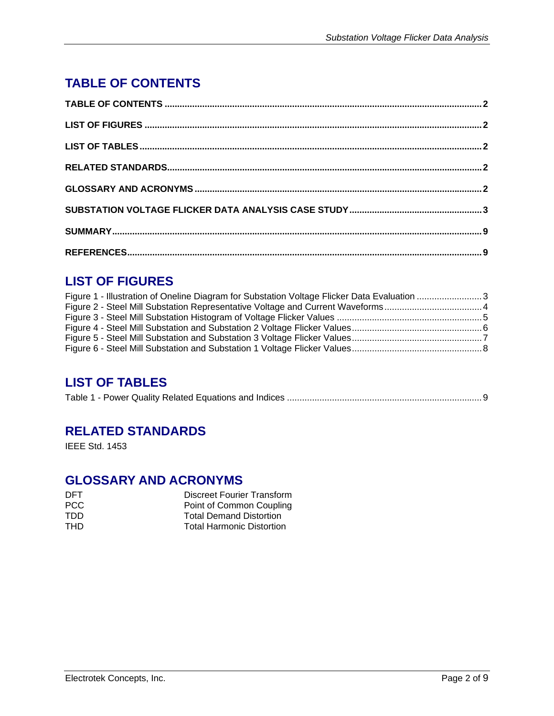## **TABLE OF CONTENTS**

### **LIST OF FIGURES**

| Figure 1 - Illustration of Oneline Diagram for Substation Voltage Flicker Data Evaluation 3 |  |
|---------------------------------------------------------------------------------------------|--|
|                                                                                             |  |
|                                                                                             |  |
|                                                                                             |  |
|                                                                                             |  |
|                                                                                             |  |

#### **LIST OF TABLES**

|--|

#### **RELATED STANDARDS**

IEEE Std. 1453

#### **GLOSSARY AND ACRONYMS**

| DFT. | Discreet Fourier Transform       |
|------|----------------------------------|
| PCC. | Point of Common Coupling         |
| TDD  | <b>Total Demand Distortion</b>   |
| THD. | <b>Total Harmonic Distortion</b> |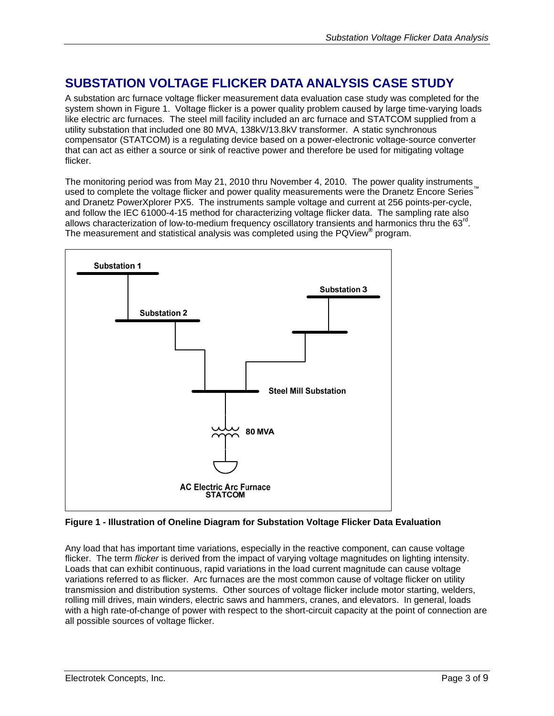### **SUBSTATION VOLTAGE FLICKER DATA ANALYSIS CASE STUDY**

A substation arc furnace voltage flicker measurement data evaluation case study was completed for the system shown in Figure 1. Voltage flicker is a power quality problem caused by large time-varying loads like electric arc furnaces. The steel mill facility included an arc furnace and STATCOM supplied from a utility substation that included one 80 MVA, 138kV/13.8kV transformer. A static synchronous compensator (STATCOM) is a regulating device based on a power-electronic voltage-source converter that can act as either a source or sink of reactive power and therefore be used for mitigating voltage flicker.

The monitoring period was from May 21, 2010 thru November 4, 2010. The power quality instruments used to complete the voltage flicker and power quality measurements were the Dranetz Encore Series and Dranetz PowerXplorer PX5. The instruments sample voltage and current at 256 points-per-cycle, and follow the IEC 61000-4-15 method for characterizing voltage flicker data. The sampling rate also allows characterization of low-to-medium frequency oscillatory transients and harmonics thru the  $63<sup>rd</sup>$ . The measurement and statistical analysis was completed using the PQView**®** program.



**Figure 1 - Illustration of Oneline Diagram for Substation Voltage Flicker Data Evaluation** 

Any load that has important time variations, especially in the reactive component, can cause voltage flicker. The term *flicker* is derived from the impact of varying voltage magnitudes on lighting intensity. Loads that can exhibit continuous, rapid variations in the load current magnitude can cause voltage variations referred to as flicker. Arc furnaces are the most common cause of voltage flicker on utility transmission and distribution systems. Other sources of voltage flicker include motor starting, welders, rolling mill drives, main winders, electric saws and hammers, cranes, and elevators. In general, loads with a high rate-of-change of power with respect to the short-circuit capacity at the point of connection are all possible sources of voltage flicker.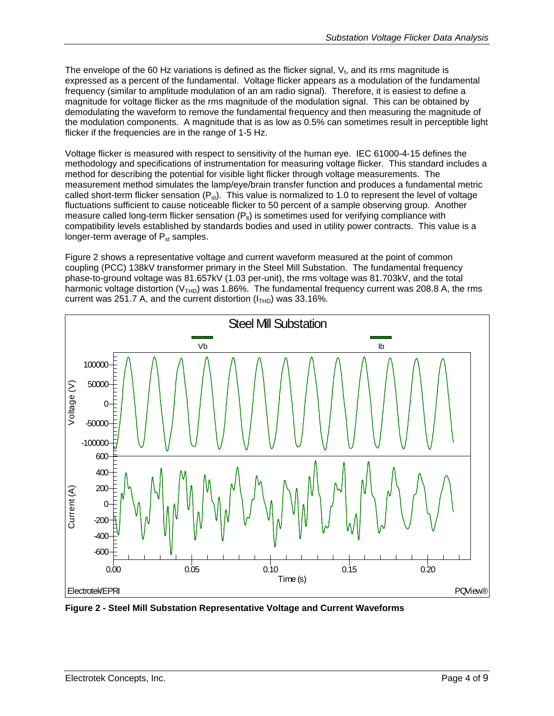The envelope of the 60 Hz variations is defined as the flicker signal,  $V_f$ , and its rms magnitude is expressed as a percent of the fundamental. Voltage flicker appears as a modulation of the fundamental frequency (similar to amplitude modulation of an am radio signal). Therefore, it is easiest to define a magnitude for voltage flicker as the rms magnitude of the modulation signal. This can be obtained by demodulating the waveform to remove the fundamental frequency and then measuring the magnitude of the modulation components. A magnitude that is as low as 0.5% can sometimes result in perceptible light flicker if the frequencies are in the range of 1-5 Hz.

Voltage flicker is measured with respect to sensitivity of the human eye. IEC 61000-4-15 defines the methodology and specifications of instrumentation for measuring voltage flicker. This standard includes a method for describing the potential for visible light flicker through voltage measurements. The measurement method simulates the lamp/eye/brain transfer function and produces a fundamental metric called short-term flicker sensation  $(P_{st})$ . This value is normalized to 1.0 to represent the level of voltage fluctuations sufficient to cause noticeable flicker to 50 percent of a sample observing group. Another measure called long-term flicker sensation  $(P_{\text{lt}})$  is sometimes used for verifying compliance with compatibility levels established by standards bodies and used in utility power contracts. This value is a longer-term average of  $P_{st}$  samples.

Figure 2 shows a representative voltage and current waveform measured at the point of common coupling (PCC) 138kV transformer primary in the Steel Mill Substation. The fundamental frequency phase-to-ground voltage was 81.657kV (1.03 per-unit), the rms voltage was 81.703kV, and the total harmonic voltage distortion ( $V<sub>THD</sub>$ ) was 1.86%. The fundamental frequency current was 208.8 A, the rms current was 251.7 A, and the current distortion  $(I<sub>THD</sub>)$  was 33.16%.



**Figure 2 - Steel Mill Substation Representative Voltage and Current Waveforms**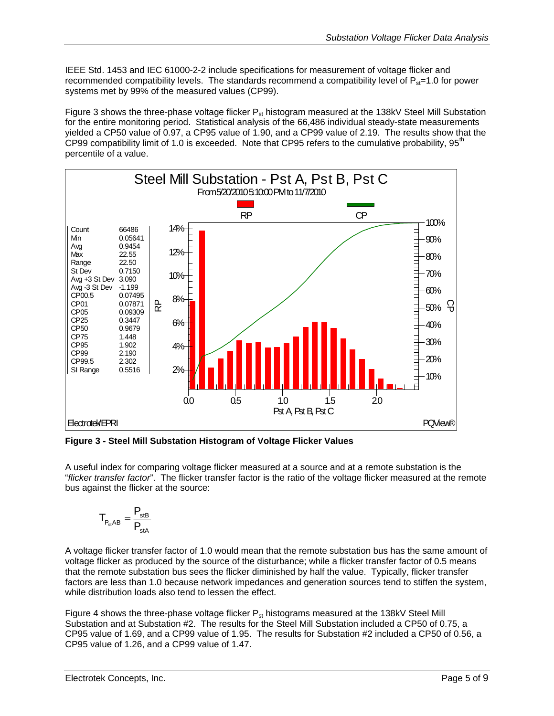IEEE Std. 1453 and IEC 61000-2-2 include specifications for measurement of voltage flicker and recommended compatibility levels. The standards recommend a compatibility level of  $P_{st}=1.0$  for power systems met by 99% of the measured values (CP99).

Figure 3 shows the three-phase voltage flicker  $P_{st}$  histogram measured at the 138kV Steel Mill Substation for the entire monitoring period. Statistical analysis of the 66,486 individual steady-state measurements yielded a CP50 value of 0.97, a CP95 value of 1.90, and a CP99 value of 2.19. The results show that the CP99 compatibility limit of 1.0 is exceeded. Note that CP95 refers to the cumulative probability, 95<sup>th</sup> percentile of a value.



**Figure 3 - Steel Mill Substation Histogram of Voltage Flicker Values** 

A useful index for comparing voltage flicker measured at a source and at a remote substation is the "*flicker transfer factor*". The flicker transfer factor is the ratio of the voltage flicker measured at the remote bus against the flicker at the source:

$$
T_{P_{st}AB} = \frac{P_{stB}}{P_{stA}}
$$

A voltage flicker transfer factor of 1.0 would mean that the remote substation bus has the same amount of voltage flicker as produced by the source of the disturbance; while a flicker transfer factor of 0.5 means that the remote substation bus sees the flicker diminished by half the value. Typically, flicker transfer factors are less than 1.0 because network impedances and generation sources tend to stiffen the system, while distribution loads also tend to lessen the effect.

Figure 4 shows the three-phase voltage flicker  $P_{st}$  histograms measured at the 138kV Steel Mill Substation and at Substation #2. The results for the Steel Mill Substation included a CP50 of 0.75, a CP95 value of 1.69, and a CP99 value of 1.95. The results for Substation #2 included a CP50 of 0.56, a CP95 value of 1.26, and a CP99 value of 1.47.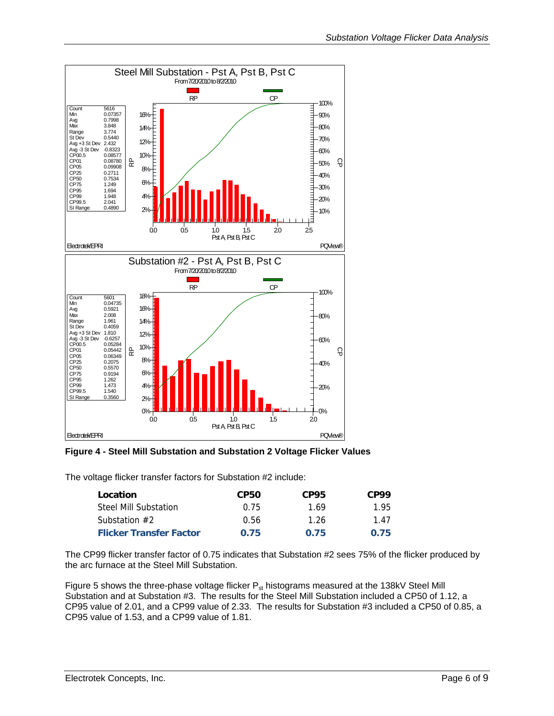

**Figure 4 - Steel Mill Substation and Substation 2 Voltage Flicker Values** 

The voltage flicker transfer factors for Substation #2 include:

| Location                       | <b>CP50</b> | CP95 | CP99 |
|--------------------------------|-------------|------|------|
| Steel Mill Substation          | 0.75        | 1.69 | 195  |
| Substation $#2$                | 0.56        | 1.26 | 147  |
| <b>Flicker Transfer Factor</b> | 0.75        | 0.75 | 0.75 |

The CP99 flicker transfer factor of 0.75 indicates that Substation #2 sees 75% of the flicker produced by the arc furnace at the Steel Mill Substation.

Figure 5 shows the three-phase voltage flicker  $P_{st}$  histograms measured at the 138kV Steel Mill Substation and at Substation #3. The results for the Steel Mill Substation included a CP50 of 1.12, a CP95 value of 2.01, and a CP99 value of 2.33. The results for Substation #3 included a CP50 of 0.85, a CP95 value of 1.53, and a CP99 value of 1.81.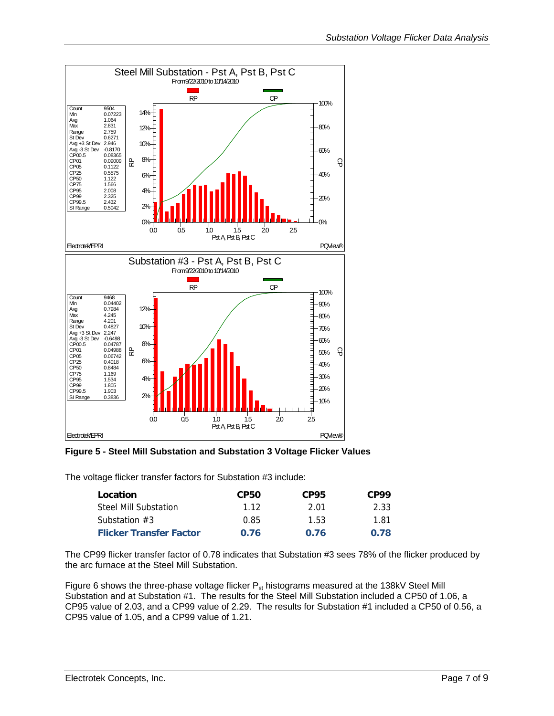

**Figure 5 - Steel Mill Substation and Substation 3 Voltage Flicker Values** 

The voltage flicker transfer factors for Substation #3 include:

| Location                       | <b>CP50</b> | CP95 | CP99 |
|--------------------------------|-------------|------|------|
| Steel Mill Substation          | 112         | 2 O1 | 2.33 |
| Substation $#3$                | 0.85        | 1.53 | 1.81 |
| <b>Flicker Transfer Factor</b> | 0.76        | 0.76 | 0.78 |

The CP99 flicker transfer factor of 0.78 indicates that Substation #3 sees 78% of the flicker produced by the arc furnace at the Steel Mill Substation.

Figure 6 shows the three-phase voltage flicker  $P_{st}$  histograms measured at the 138kV Steel Mill Substation and at Substation #1. The results for the Steel Mill Substation included a CP50 of 1.06, a CP95 value of 2.03, and a CP99 value of 2.29. The results for Substation #1 included a CP50 of 0.56, a CP95 value of 1.05, and a CP99 value of 1.21.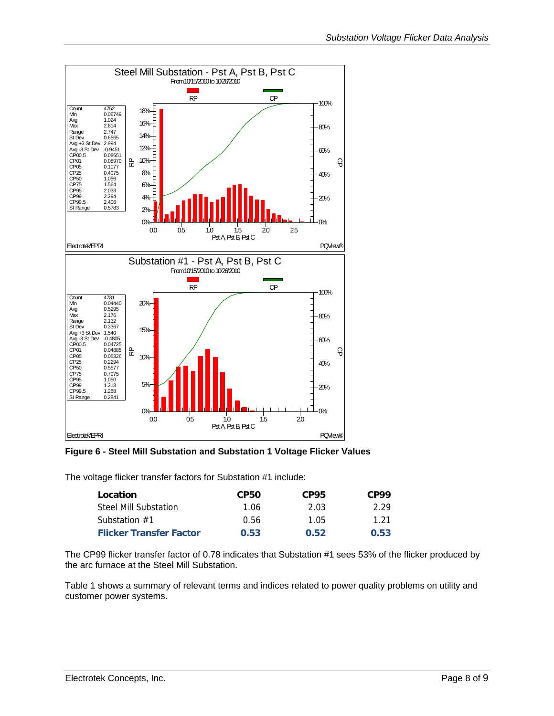

**Figure 6 - Steel Mill Substation and Substation 1 Voltage Flicker Values** 

The voltage flicker transfer factors for Substation #1 include:

| Location                       | <b>CP50</b> | CP95 | CP99 |
|--------------------------------|-------------|------|------|
| Steel Mill Substation          | 1.06        | 2.03 | 2.29 |
| Substation $#1$                | 0.56        | 1.05 | 1 21 |
| <b>Flicker Transfer Factor</b> | 0.53        | 0.52 | 0.53 |

The CP99 flicker transfer factor of 0.78 indicates that Substation #1 sees 53% of the flicker produced by the arc furnace at the Steel Mill Substation.

Table 1 shows a summary of relevant terms and indices related to power quality problems on utility and customer power systems.